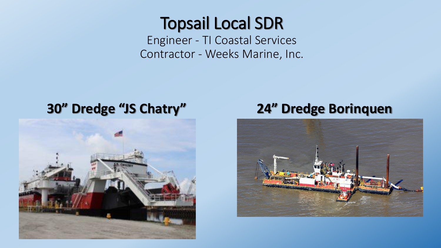## Topsail Local SDR

Engineer - TI Coastal Services Contractor - Weeks Marine, Inc.

#### **30" Dredge "JS Chatry" 24" Dredge Borinquen**



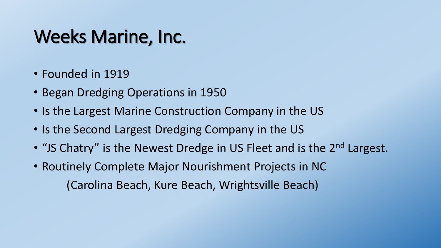# Weeks Marine, Inc.

- Founded in 1919
- Began Dredging Operations in 1950
- Is the Largest Marine Construction Company in the US
- Is the Second Largest Dredging Company in the US
- "JS Chatry" is the Newest Dredge in US Fleet and is the 2<sup>nd</sup> Largest.
- Routinely Complete Major Nourishment Projects in NC (Carolina Beach, Kure Beach, Wrightsville Beach)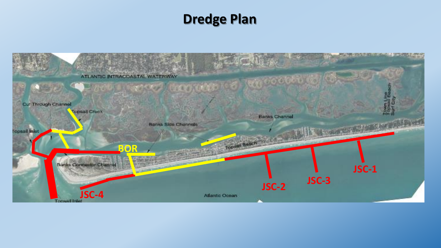### **Dredge Plan**

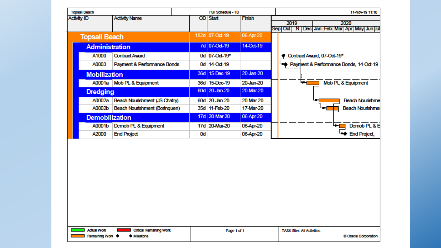| <b>Topsall Beach</b> |                                               |                                              |    | <b>Full Schedule - TB</b> |               | 11-Nov-19 11:10                                             |
|----------------------|-----------------------------------------------|----------------------------------------------|----|---------------------------|---------------|-------------------------------------------------------------|
| <b>Activity ID</b>   |                                               | <b>Activity Name</b>                         |    | <b>OD</b> Start           | <b>Finish</b> | 2019<br>2020<br>Sep Oct  N  Dec Jan Feb Mar Apr May Jun Jul |
|                      | <b>Topsail Beach</b>                          |                                              |    | 182d 07-Oct-19            | 06-Apr-20     |                                                             |
|                      | <b>Administration</b>                         |                                              |    | 7d 07-Oct-19              | 14-Oct-19     |                                                             |
|                      | A1000                                         | <b>Contract Award</b>                        |    | 0d 07-Od-19*              |               | Contract Award, 07-Oct-19*                                  |
|                      | A0003                                         | Payment & Performance Bonds                  |    | 0d 14-Od-19               |               | Payment & Performance Bonds, 14-Oct-19                      |
|                      | <b>Mobilization</b>                           |                                              |    | 36d 15-Dec-19             | 20-Jan-20     | Mob PL & Equipment<br>i pop                                 |
|                      |                                               | A0001a Mob PL & Equipment                    |    | 36d 15-Dec-19             | 20-Jan-20     |                                                             |
|                      | <b>Dredging</b>                               |                                              |    | 60d 20-Jan-20             | 20-Mar-20     |                                                             |
|                      | A0002a                                        | Beach Nourishment (JS Chatry)                |    | 60d 20-Jan-20             | 20-Mar-20     | <b>Beach Nourishme</b>                                      |
|                      | A0002b                                        | Beach Nourishment (Boringuen)                |    | 35d 11-Feb-20             | 17-Mar-20     | <b>Beach Nourishme</b>                                      |
|                      | <b>Demobilization</b>                         |                                              |    | 17d 20-Mar-20             | 06-Apr-20     |                                                             |
|                      | A0001b                                        | Demob PL & Equipment                         |    | 17d 20-Mar-20             | 06-Apr-20     | Demob <sub>PL&amp;E</sub><br>╺                              |
|                      | A2000                                         | <b>End Project</b>                           | 0d |                           | 06-Apr-20     | <b>**</b> End Project,                                      |
|                      |                                               |                                              |    |                           |               |                                                             |
|                      | <b>Actual Work</b><br><b>Remaining Work ♦</b> | <b>Critical Remaining Work</b><br>+ Miestone |    | Page 1 of 1               |               | <b>TASK filter: All Activities</b><br>C Oracle Corporation  |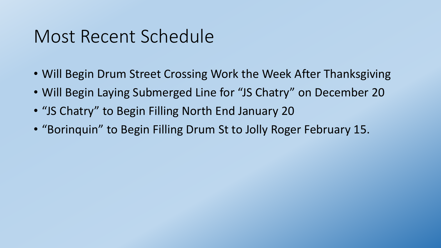## Most Recent Schedule

- Will Begin Drum Street Crossing Work the Week After Thanksgiving
- Will Begin Laying Submerged Line for "JS Chatry" on December 20
- "JS Chatry" to Begin Filling North End January 20
- "Borinquin" to Begin Filling Drum St to Jolly Roger February 15.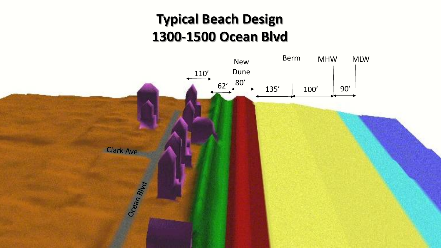## **Typical Beach Design 1300-1500 Ocean Blvd**

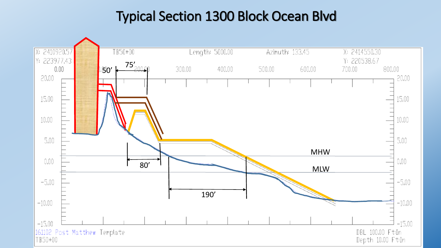## Typical Section 1300 Block Ocean Blvd

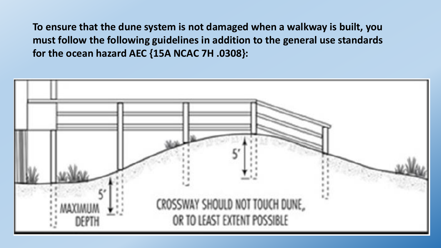**To ensure that the dune system is not damaged when a walkway is built, you must follow the following guidelines in addition to the general use standards for the ocean hazard AEC {15A NCAC 7H .0308}:** 

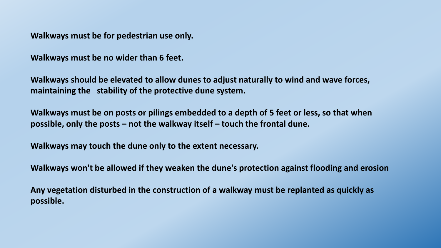**Walkways must be for pedestrian use only.**

**Walkways must be no wider than 6 feet.**

**Walkways should be elevated to allow dunes to adjust naturally to wind and wave forces, maintaining the stability of the protective dune system.** 

**Walkways must be on posts or pilings embedded to a depth of 5 feet or less, so that when possible, only the posts – not the walkway itself – touch the frontal dune.** 

**Walkways may touch the dune only to the extent necessary.**

**Walkways won't be allowed if they weaken the dune's protection against flooding and erosion**

**Any vegetation disturbed in the construction of a walkway must be replanted as quickly as possible.**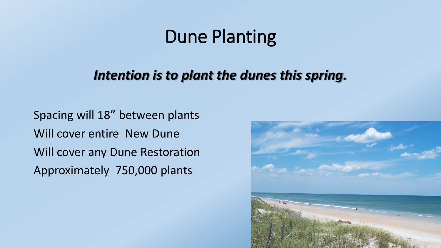# Dune Planting

#### *Intention is to plant the dunes this spring.*

Spacing will 18" between plants Will cover entire New Dune Will cover any Dune Restoration Approximately 750,000 plants